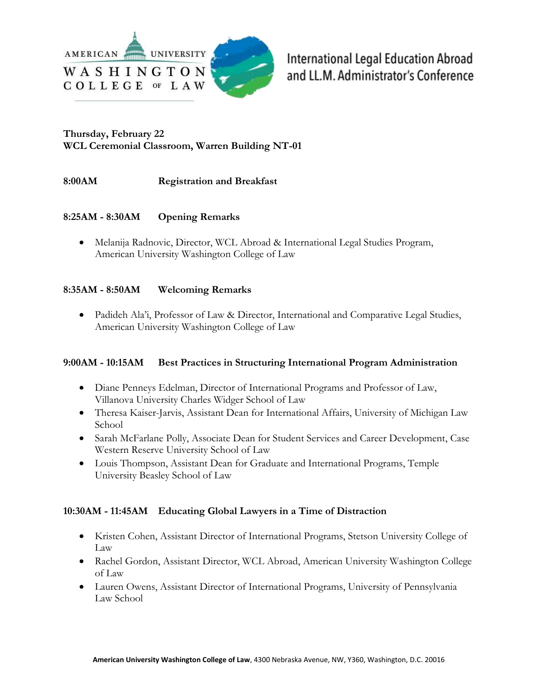

**International Legal Education Abroad** and LL.M. Administrator's Conference

## **WCL Ceremonial Classroom, Warren Building NT-01 Thursday, February 22**

#### 8:00AM **Registration and Breakfast**

#### 8:25AM - 8:30AM **Opening Remarks**

 Melanija Radnovic, Director, WCL Abroad & International Legal Studies Program, American University Washington College of Law

#### 8:35AM - 8:50AM **Welcoming Remarks**

• Padideh Ala'i, Professor of Law & Director, International and Comparative Legal Studies, American University Washington College of Law

#### 9:00AM - 10:15AM **Best Practices in Structuring International Program Administration**

- Diane Penneys Edelman, Director of International Programs and Professor of Law, Villanova University Charles Widger School of Law
- Theresa Kaiser-Jarvis, Assistant Dean for International Affairs, University of Michigan Law School
- Sarah McFarlane Polly, Associate Dean for Student Services and Career Development, Case Western Reserve University School of Law
- Louis Thompson, Assistant Dean for Graduate and International Programs, Temple University Beasley School of Law

### **10:30AM - 11:45AM Educating Global Lawyers in a Time of Distraction**

- Kristen Cohen, Assistant Director of International Programs, Stetson University College of Law
- Rachel Gordon, Assistant Director, WCL Abroad, American University Washington College of Law
- Lauren Owens, Assistant Director of International Programs, University of Pennsylvania Law School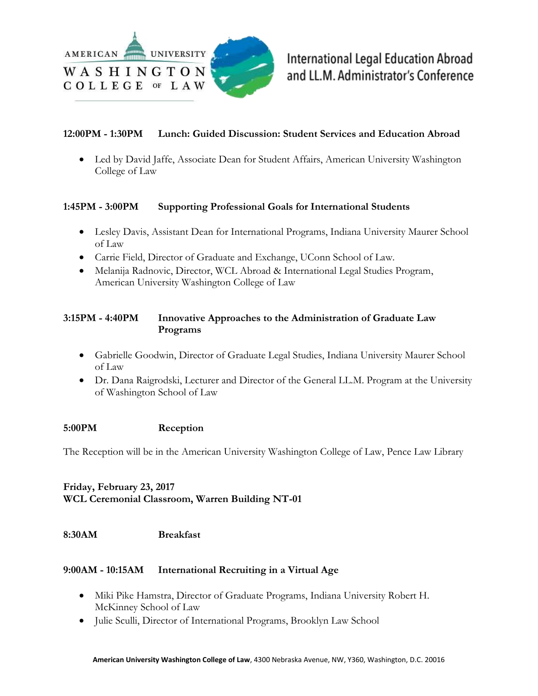

#### 12:00PM - 1:30PM **Lunch: Guided Discussion: Student Services and Education Abroad**

 Led by David Jaffe, Associate Dean for Student Affairs, American University Washington College of Law

#### 1:45PM - 3:00PM **Supporting Professional Goals for International Students**

- Lesley Davis, Assistant Dean for International Programs, Indiana University Maurer School of Law
- Carrie Field, Director of Graduate and Exchange, UConn School of Law.
- Melanija Radnovic, Director, WCL Abroad & International Legal Studies Program, American University Washington College of Law

### 3:15PM - 4:40PM **Innovative Approaches to the Administration of Graduate Law Programs**

- Gabrielle Goodwin, Director of Graduate Legal Studies, Indiana University Maurer School of Law
- Dr. Dana Raigrodski, Lecturer and Director of the General LL.M. Program at the University of Washington School of Law

#### 5:00PM **Reception**

The Reception will be in the American University Washington College of Law, Pence Law Library

# **WCL Ceremonial Classroom, Warren Building NT-01 Friday, February 23, 2017**

#### 8:30AM **Breakfast**

#### 9:00AM - 10:15AM **International Recruiting in a Virtual Age**

- Miki Pike Hamstra, Director of Graduate Programs, Indiana University Robert H. McKinney School of Law
- Julie Sculli, Director of International Programs, Brooklyn Law School